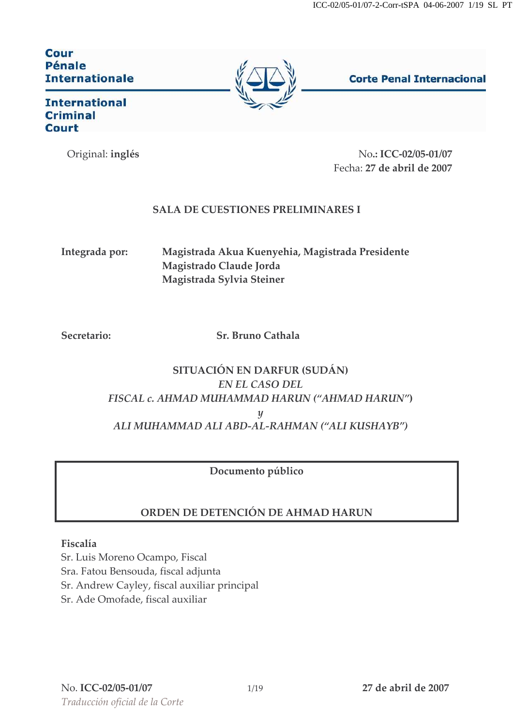**Cour** Pénale **Internationale** 



**Corte Penal Internacional** 

**International Criminal Court** 

Original: inglés

No.: ICC-02/05-01/07 Fecha: 27 de abril de 2007

## **SALA DE CUESTIONES PRELIMINARES I**

Integrada por:

Magistrada Akua Kuenyehia, Magistrada Presidente Magistrado Claude Jorda Magistrada Sylvia Steiner

Secretario:

Sr. Bruno Cathala

# SITUACIÓN EN DARFUR (SUDÁN) **EN EL CASO DEL** FISCAL c. AHMAD MUHAMMAD HARUN ("AHMAD HARUN")  $\boldsymbol{\mathcal{U}}$ ALI MUHAMMAD ALI ABD-AL-RAHMAN ("ALI KUSHAYB")

## Documento público

# ORDEN DE DETENCIÓN DE AHMAD HARUN

### Fiscalía

Sr. Luis Moreno Ocampo, Fiscal Sra. Fatou Bensouda, fiscal adjunta Sr. Andrew Cayley, fiscal auxiliar principal Sr. Ade Omofade, fiscal auxiliar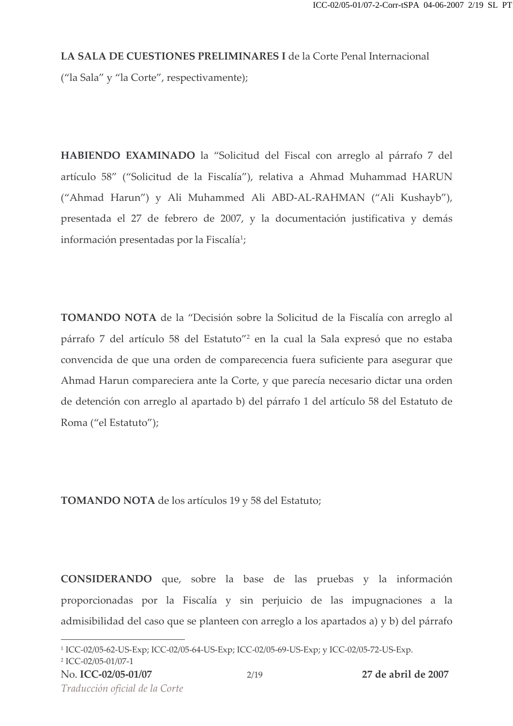#### LA SALA DE CUESTIONES PRELIMINARES I de la Corte Penal Internacional

("la Sala" y "la Corte", respectivamente);

HABIENDO EXAMINADO la "Solicitud del Fiscal con arreglo al párrafo 7 del artículo 58" ("Solicitud de la Fiscalía"), relativa a Ahmad Muhammad HARUN ("Ahmad Harun") y Ali Muhammed Ali ABD-AL-RAHMAN ("Ali Kushayb"), presentada el 27 de febrero de 2007, y la documentación justificativa y demás información presentadas por la Fiscalía<sup>1</sup>;

TOMANDO NOTA de la "Decisión sobre la Solicitud de la Fiscalía con arreglo al párrafo 7 del artículo 58 del Estatuto"<sup>2</sup> en la cual la Sala expresó que no estaba convencida de que una orden de comparecencia fuera suficiente para asegurar que Ahmad Harun compareciera ante la Corte, y que parecía necesario dictar una orden de detención con arreglo al apartado b) del párrafo 1 del artículo 58 del Estatuto de Roma ("el Estatuto");

**TOMANDO NOTA** de los artículos 19 y 58 del Estatuto;

CONSIDERANDO que, sobre la base de las pruebas y la información proporcionadas por la Fiscalía y sin perjuicio de las impugnaciones a la admisibilidad del caso que se planteen con arreglo a los apartados a) y b) del párrafo

<sup>&</sup>lt;sup>1</sup> ICC-02/05-62-US-Exp; ICC-02/05-64-US-Exp; ICC-02/05-69-US-Exp; y ICC-02/05-72-US-Exp.

<sup>&</sup>lt;sup>2</sup> ICC-02/05-01/07-1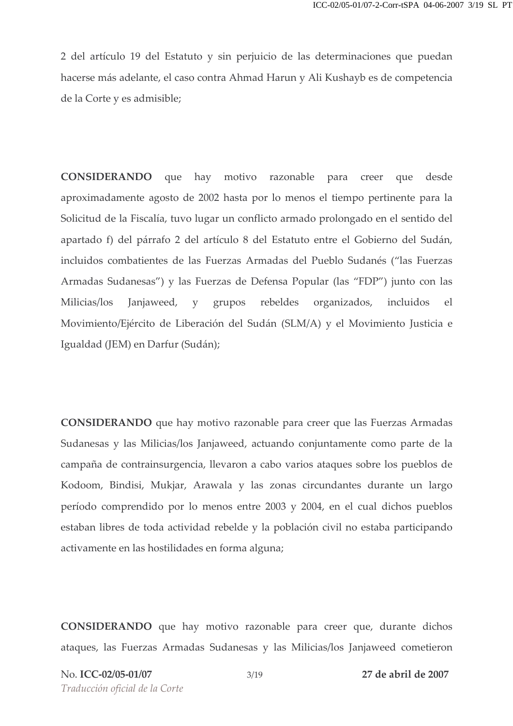2 del artículo 19 del Estatuto y sin perjuicio de las determinaciones que puedan hacerse más adelante, el caso contra Ahmad Harun y Ali Kushayb es de competencia de la Corte y es admisible;

**CONSIDERANDO** que hay motivo razonable para creer que desde aproximadamente agosto de 2002 hasta por lo menos el tiempo pertinente para la Solicitud de la Fiscalía, tuvo lugar un conflicto armado prolongado en el sentido del apartado f) del párrafo 2 del artículo 8 del Estatuto entre el Gobierno del Sudán, incluidos combatientes de las Fuerzas Armadas del Pueblo Sudanés ("las Fuerzas Armadas Sudanesas") y las Fuerzas de Defensa Popular (las "FDP") junto con las rebeldes Milicias/los Janjaweed, y grupos organizados, incluidos el Movimiento/Ejército de Liberación del Sudán (SLM/A) y el Movimiento Justicia e Igualdad (JEM) en Darfur (Sudán);

**CONSIDERANDO** que hay motivo razonable para creer que las Fuerzas Armadas Sudanesas y las Milicias/los Janjaweed, actuando conjuntamente como parte de la campaña de contrainsurgencia, llevaron a cabo varios ataques sobre los pueblos de Kodoom, Bindisi, Mukjar, Arawala y las zonas circundantes durante un largo período comprendido por lo menos entre 2003 y 2004, en el cual dichos pueblos estaban libres de toda actividad rebelde y la población civil no estaba participando activamente en las hostilidades en forma alguna;

CONSIDERANDO que hay motivo razonable para creer que, durante dichos ataques, las Fuerzas Armadas Sudanesas y las Milicias/los Janjaweed cometieron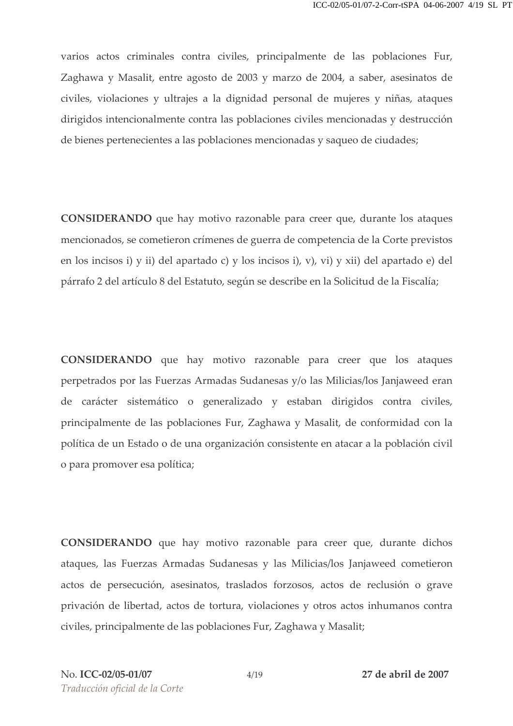varios actos criminales contra civiles, principalmente de las poblaciones Fur, Zaghawa y Masalit, entre agosto de 2003 y marzo de 2004, a saber, asesinatos de civiles, violaciones y ultrajes a la dignidad personal de mujeres y niñas, ataques dirigidos intencionalmente contra las poblaciones civiles mencionadas y destrucción de bienes pertenecientes a las poblaciones mencionadas y saqueo de ciudades;

CONSIDERANDO que hay motivo razonable para creer que, durante los ataques mencionados, se cometieron crímenes de guerra de competencia de la Corte previstos en los incisos i) y ii) del apartado c) y los incisos i), v), vi) y xii) del apartado e) del párrafo 2 del artículo 8 del Estatuto, según se describe en la Solicitud de la Fiscalía;

**CONSIDERANDO** que hay motivo razonable para creer que los ataques perpetrados por las Fuerzas Armadas Sudanesas y/o las Milicias/los Janjaweed eran de carácter sistemático o generalizado y estaban dirigidos contra civiles, principalmente de las poblaciones Fur, Zaghawa y Masalit, de conformidad con la política de un Estado o de una organización consistente en atacar a la población civil o para promover esa política;

CONSIDERANDO que hay motivo razonable para creer que, durante dichos ataques, las Fuerzas Armadas Sudanesas y las Milicias/los Janjaweed cometieron actos de persecución, asesinatos, traslados forzosos, actos de reclusión o grave privación de libertad, actos de tortura, violaciones y otros actos inhumanos contra civiles, principalmente de las poblaciones Fur, Zaghawa y Masalit;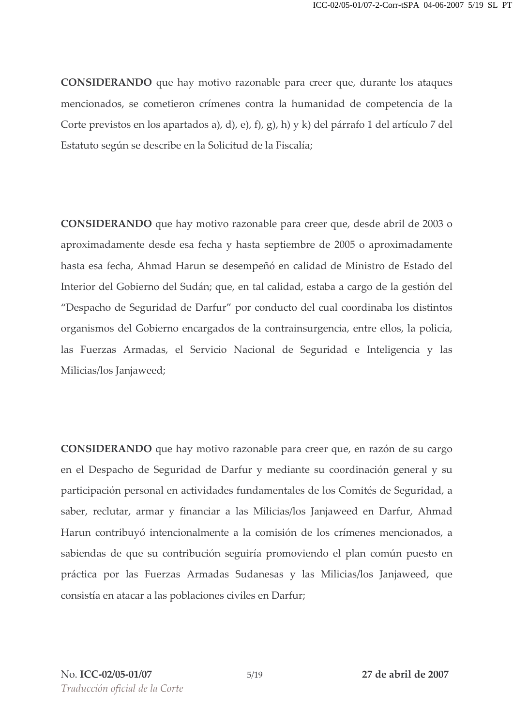**CONSIDERANDO** que hay motivo razonable para creer que, durante los ataques mencionados, se cometieron crímenes contra la humanidad de competencia de la Corte previstos en los apartados a), d), e), f), g), h) y k) del párrafo 1 del artículo 7 del Estatuto según se describe en la Solicitud de la Fiscalía;

**CONSIDERANDO** que hay motivo razonable para creer que, desde abril de 2003 o aproximadamente desde esa fecha y hasta septiembre de 2005 o aproximadamente hasta esa fecha, Ahmad Harun se desempeñó en calidad de Ministro de Estado del Interior del Gobierno del Sudán; que, en tal calidad, estaba a cargo de la gestión del "Despacho de Seguridad de Darfur" por conducto del cual coordinaba los distintos organismos del Gobierno encargados de la contrainsurgencia, entre ellos, la policía, las Fuerzas Armadas, el Servicio Nacional de Seguridad e Inteligencia y las Milicias/los Janjaweed;

CONSIDERANDO que hay motivo razonable para creer que, en razón de su cargo en el Despacho de Seguridad de Darfur y mediante su coordinación general y su participación personal en actividades fundamentales de los Comités de Seguridad, a saber, reclutar, armar y financiar a las Milicias/los Janjaweed en Darfur, Ahmad Harun contribuyó intencionalmente a la comisión de los crímenes mencionados, a sabiendas de que su contribución seguiría promoviendo el plan común puesto en práctica por las Fuerzas Armadas Sudanesas y las Milicias/los Janjaweed, que consistía en atacar a las poblaciones civiles en Darfur;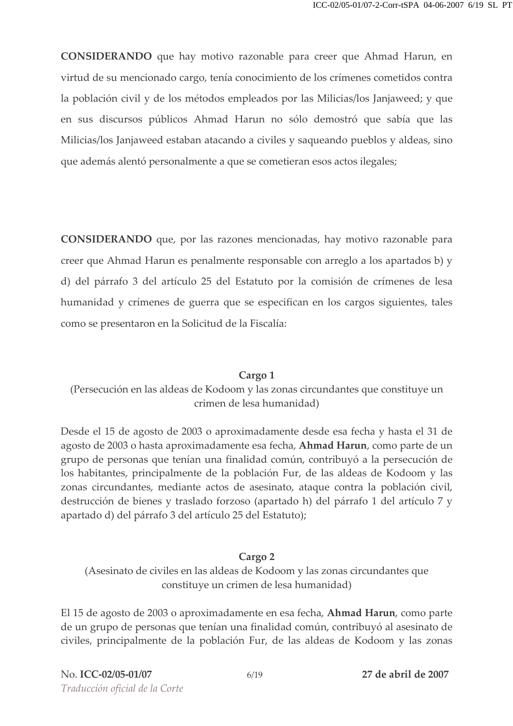CONSIDERANDO que hay motivo razonable para creer que Ahmad Harun, en virtud de su mencionado cargo, tenía conocimiento de los crímenes cometidos contra la población civil y de los métodos empleados por las Milicias/los Janjaweed; y que en sus discursos públicos Ahmad Harun no sólo demostró que sabía que las Milicias/los Janjaweed estaban atacando a civiles y saqueando pueblos y aldeas, sino que además alentó personalmente a que se cometieran esos actos ilegales;

**CONSIDERANDO** que, por las razones mencionadas, hay motivo razonable para creer que Ahmad Harun es penalmente responsable con arreglo a los apartados b) y d) del párrafo 3 del artículo 25 del Estatuto por la comisión de crímenes de lesa humanidad y crímenes de guerra que se especifican en los cargos siguientes, tales como se presentaron en la Solicitud de la Fiscalía:

#### Cargo 1

## (Persecución en las aldeas de Kodoom y las zonas circundantes que constituye un crimen de lesa humanidad)

Desde el 15 de agosto de 2003 o aproximadamente desde esa fecha y hasta el 31 de agosto de 2003 o hasta aproximadamente esa fecha, Ahmad Harun, como parte de un grupo de personas que tenían una finalidad común, contribuyó a la persecución de los habitantes, principalmente de la población Fur, de las aldeas de Kodoom y las zonas circundantes, mediante actos de asesinato, ataque contra la población civil, destrucción de bienes y traslado forzoso (apartado h) del párrafo 1 del artículo 7 y apartado d) del párrafo 3 del artículo 25 del Estatuto);

#### Cargo 2

(Asesinato de civiles en las aldeas de Kodoom y las zonas circundantes que constituye un crimen de lesa humanidad)

El 15 de agosto de 2003 o aproximadamente en esa fecha, Ahmad Harun, como parte de un grupo de personas que tenían una finalidad común, contribuyó al asesinato de civiles, principalmente de la población Fur, de las aldeas de Kodoom y las zonas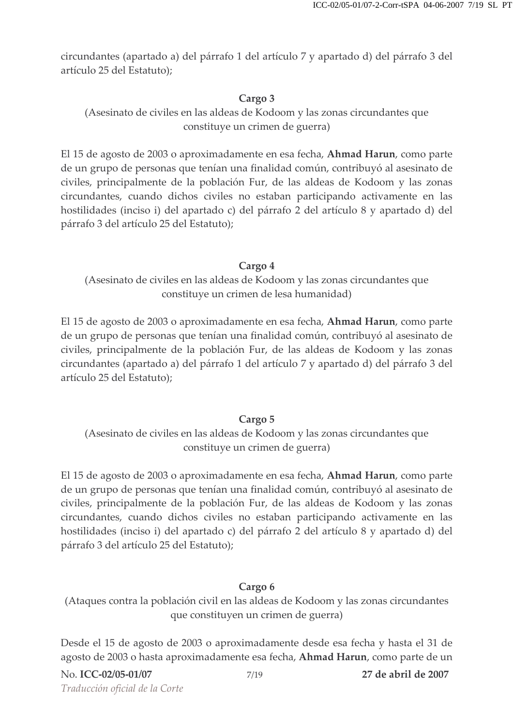circundantes (apartado a) del párrafo 1 del artículo 7 y apartado d) del párrafo 3 del artículo 25 del Estatuto);

## Cargo 3

(Asesinato de civiles en las aldeas de Kodoom y las zonas circundantes que constituye un crimen de guerra)

El 15 de agosto de 2003 o aproximadamente en esa fecha, Ahmad Harun, como parte de un grupo de personas que tenían una finalidad común, contribuyó al asesinato de civiles, principalmente de la población Fur, de las aldeas de Kodoom y las zonas circundantes, cuando dichos civiles no estaban participando activamente en las hostilidades (inciso i) del apartado c) del párrafo 2 del artículo 8 y apartado d) del párrafo 3 del artículo 25 del Estatuto);

#### Cargo 4

(Asesinato de civiles en las aldeas de Kodoom y las zonas circundantes que constituye un crimen de lesa humanidad)

El 15 de agosto de 2003 o aproximadamente en esa fecha, Ahmad Harun, como parte de un grupo de personas que tenían una finalidad común, contribuyó al asesinato de civiles, principalmente de la población Fur, de las aldeas de Kodoom y las zonas circundantes (apartado a) del párrafo 1 del artículo 7 y apartado d) del párrafo 3 del artículo 25 del Estatuto);

### Cargo 5

(Asesinato de civiles en las aldeas de Kodoom y las zonas circundantes que constituye un crimen de guerra)

El 15 de agosto de 2003 o aproximadamente en esa fecha, Ahmad Harun, como parte de un grupo de personas que tenían una finalidad común, contribuyó al asesinato de civiles, principalmente de la población Fur, de las aldeas de Kodoom y las zonas circundantes, cuando dichos civiles no estaban participando activamente en las hostilidades (inciso i) del apartado c) del párrafo 2 del artículo 8 y apartado d) del párrafo 3 del artículo 25 del Estatuto);

### Cargo 6

(Ataques contra la población civil en las aldeas de Kodoom y las zonas circundantes que constituyen un crimen de guerra)

Desde el 15 de agosto de 2003 o aproximadamente desde esa fecha y hasta el 31 de agosto de 2003 o hasta aproximadamente esa fecha, Ahmad Harun, como parte de un

27 de abril de 2007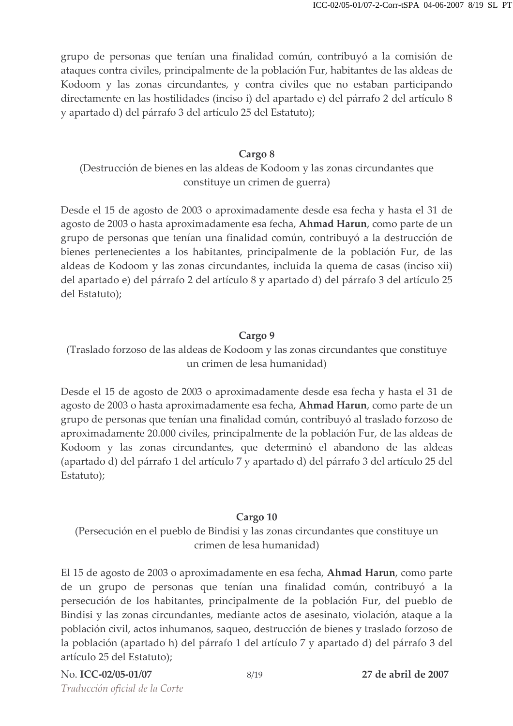grupo de personas que tenían una finalidad común, contribuyó a la comisión de ataques contra civiles, principalmente de la población Fur, habitantes de las aldeas de Kodoom y las zonas circundantes, y contra civiles que no estaban participando directamente en las hostilidades (inciso i) del apartado e) del párrafo 2 del artículo 8 y apartado d) del párrafo 3 del artículo 25 del Estatuto);

#### Cargo 8

(Destrucción de bienes en las aldeas de Kodoom y las zonas circundantes que constituye un crimen de guerra)

Desde el 15 de agosto de 2003 o aproximadamente desde esa fecha y hasta el 31 de agosto de 2003 o hasta aproximadamente esa fecha, **Ahmad Harun**, como parte de un grupo de personas que tenían una finalidad común, contribuyó a la destrucción de bienes pertenecientes a los habitantes, principalmente de la población Fur, de las aldeas de Kodoom y las zonas circundantes, incluida la quema de casas (inciso xii) del apartado e) del párrafo 2 del artículo 8 y apartado d) del párrafo 3 del artículo 25 del Estatuto);

#### Cargo 9

(Traslado forzoso de las aldeas de Kodoom y las zonas circundantes que constituye un crimen de lesa humanidad)

Desde el 15 de agosto de 2003 o aproximadamente desde esa fecha y hasta el 31 de agosto de 2003 o hasta aproximadamente esa fecha, Ahmad Harun, como parte de un grupo de personas que tenían una finalidad común, contribuyó al traslado forzoso de aproximadamente 20.000 civiles, principalmente de la población Fur, de las aldeas de Kodoom y las zonas circundantes, que determinó el abandono de las aldeas (apartado d) del párrafo 1 del artículo 7 y apartado d) del párrafo 3 del artículo 25 del Estatuto);

### Cargo 10

(Persecución en el pueblo de Bindisi y las zonas circundantes que constituye un crimen de lesa humanidad)

El 15 de agosto de 2003 o aproximadamente en esa fecha, **Ahmad Harun**, como parte de un grupo de personas que tenían una finalidad común, contribuyó a la persecución de los habitantes, principalmente de la población Fur, del pueblo de Bindisi y las zonas circundantes, mediante actos de asesinato, violación, ataque a la población civil, actos inhumanos, saqueo, destrucción de bienes y traslado forzoso de la población (apartado h) del párrafo 1 del artículo 7 y apartado d) del párrafo 3 del artículo 25 del Estatuto);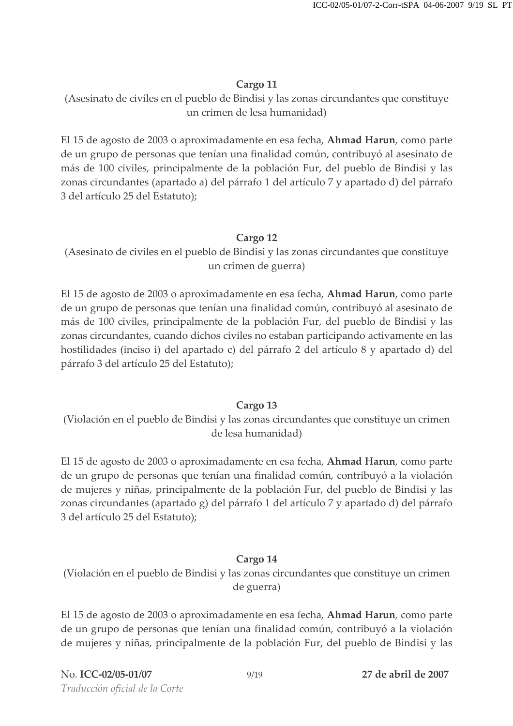(Asesinato de civiles en el pueblo de Bindisi y las zonas circundantes que constituye un crimen de lesa humanidad)

El 15 de agosto de 2003 o aproximadamente en esa fecha, Ahmad Harun, como parte de un grupo de personas que tenían una finalidad común, contribuyó al asesinato de más de 100 civiles, principalmente de la población Fur, del pueblo de Bindisi y las zonas circundantes (apartado a) del párrafo 1 del artículo 7 y apartado d) del párrafo 3 del artículo 25 del Estatuto);

### Cargo 12

(Asesinato de civiles en el pueblo de Bindisi y las zonas circundantes que constituye un crimen de guerra)

El 15 de agosto de 2003 o aproximadamente en esa fecha, Ahmad Harun, como parte de un grupo de personas que tenían una finalidad común, contribuyó al asesinato de más de 100 civiles, principalmente de la población Fur, del pueblo de Bindisi y las zonas circundantes, cuando dichos civiles no estaban participando activamente en las hostilidades (inciso i) del apartado c) del párrafo 2 del artículo 8 y apartado d) del párrafo 3 del artículo 25 del Estatuto);

### Cargo 13

(Violación en el pueblo de Bindisi y las zonas circundantes que constituye un crimen de lesa humanidad)

El 15 de agosto de 2003 o aproximadamente en esa fecha, Ahmad Harun, como parte de un grupo de personas que tenían una finalidad común, contribuyó a la violación de mujeres y niñas, principalmente de la población Fur, del pueblo de Bindisi y las zonas circundantes (apartado g) del párrafo 1 del artículo 7 y apartado d) del párrafo 3 del artículo 25 del Estatuto);

## Cargo 14

(Violación en el pueblo de Bindisi y las zonas circundantes que constituye un crimen de guerra)

El 15 de agosto de 2003 o aproximadamente en esa fecha, Ahmad Harun, como parte de un grupo de personas que tenían una finalidad común, contribuyó a la violación de mujeres y niñas, principalmente de la población Fur, del pueblo de Bindisi y las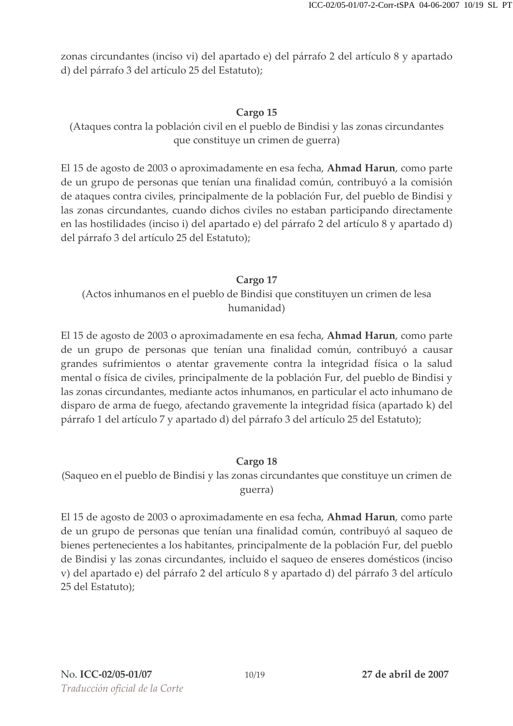zonas circundantes (inciso vi) del apartado e) del párrafo 2 del artículo 8 y apartado d) del párrafo 3 del artículo 25 del Estatuto);

### Cargo 15

(Ataques contra la población civil en el pueblo de Bindisi y las zonas circundantes que constituye un crimen de guerra)

El 15 de agosto de 2003 o aproximadamente en esa fecha, Ahmad Harun, como parte de un grupo de personas que tenían una finalidad común, contribuyó a la comisión de ataques contra civiles, principalmente de la población Fur, del pueblo de Bindisi y las zonas circundantes, cuando dichos civiles no estaban participando directamente en las hostilidades (inciso i) del apartado e) del párrafo 2 del artículo 8 y apartado d) del párrafo 3 del artículo 25 del Estatuto);

### Cargo 17

(Actos inhumanos en el pueblo de Bindisi que constituyen un crimen de lesa humanidad)

El 15 de agosto de 2003 o aproximadamente en esa fecha, **Ahmad Harun**, como parte de un grupo de personas que tenían una finalidad común, contribuyó a causar grandes sufrimientos o atentar gravemente contra la integridad física o la salud mental o física de civiles, principalmente de la población Fur, del pueblo de Bindisi y las zonas circundantes, mediante actos inhumanos, en particular el acto inhumano de disparo de arma de fuego, afectando gravemente la integridad física (apartado k) del párrafo 1 del artículo 7 y apartado d) del párrafo 3 del artículo 25 del Estatuto);

## Cargo 18

(Saqueo en el pueblo de Bindisi y las zonas circundantes que constituye un crimen de guerra)

El 15 de agosto de 2003 o aproximadamente en esa fecha, Ahmad Harun, como parte de un grupo de personas que tenían una finalidad común, contribuyó al saqueo de bienes pertenecientes a los habitantes, principalmente de la población Fur, del pueblo de Bindisi y las zonas circundantes, incluido el saqueo de enseres domésticos (inciso v) del apartado e) del párrafo 2 del artículo 8 y apartado d) del párrafo 3 del artículo 25 del Estatuto);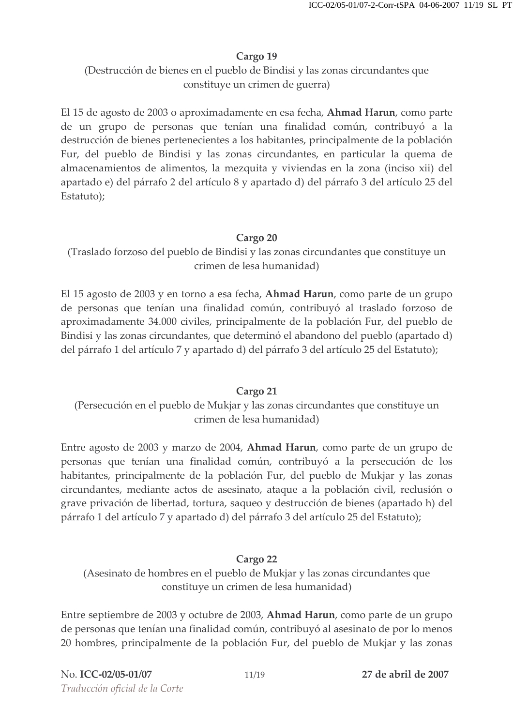(Destrucción de bienes en el pueblo de Bindisi y las zonas circundantes que constituye un crimen de guerra)

El 15 de agosto de 2003 o aproximadamente en esa fecha, Ahmad Harun, como parte de un grupo de personas que tenían una finalidad común, contribuyó a la destrucción de bienes pertenecientes a los habitantes, principalmente de la población Fur, del pueblo de Bindisi y las zonas circundantes, en particular la quema de almacenamientos de alimentos, la mezquita y viviendas en la zona (inciso xii) del apartado e) del párrafo 2 del artículo 8 y apartado d) del párrafo 3 del artículo 25 del Estatuto);

### Cargo 20

(Traslado forzoso del pueblo de Bindisi y las zonas circundantes que constituye un crimen de lesa humanidad)

El 15 agosto de 2003 y en torno a esa fecha, Ahmad Harun, como parte de un grupo de personas que tenían una finalidad común, contribuyó al traslado forzoso de aproximadamente 34.000 civiles, principalmente de la población Fur, del pueblo de Bindisi y las zonas circundantes, que determinó el abandono del pueblo (apartado d) del párrafo 1 del artículo 7 y apartado d) del párrafo 3 del artículo 25 del Estatuto);

### Cargo 21

(Persecución en el pueblo de Mukjar y las zonas circundantes que constituye un crimen de lesa humanidad)

Entre agosto de 2003 y marzo de 2004, Ahmad Harun, como parte de un grupo de personas que tenían una finalidad común, contribuyó a la persecución de los habitantes, principalmente de la población Fur, del pueblo de Mukjar y las zonas circundantes, mediante actos de asesinato, ataque a la población civil, reclusión o grave privación de libertad, tortura, saqueo y destrucción de bienes (apartado h) del párrafo 1 del artículo 7 y apartado d) del párrafo 3 del artículo 25 del Estatuto);

### Cargo 22

(Asesinato de hombres en el pueblo de Mukjar y las zonas circundantes que constituye un crimen de lesa humanidad)

Entre septiembre de 2003 y octubre de 2003, Ahmad Harun, como parte de un grupo de personas que tenían una finalidad común, contribuyó al asesinato de por lo menos 20 hombres, principalmente de la población Fur, del pueblo de Mukjar y las zonas

27 de abril de 2007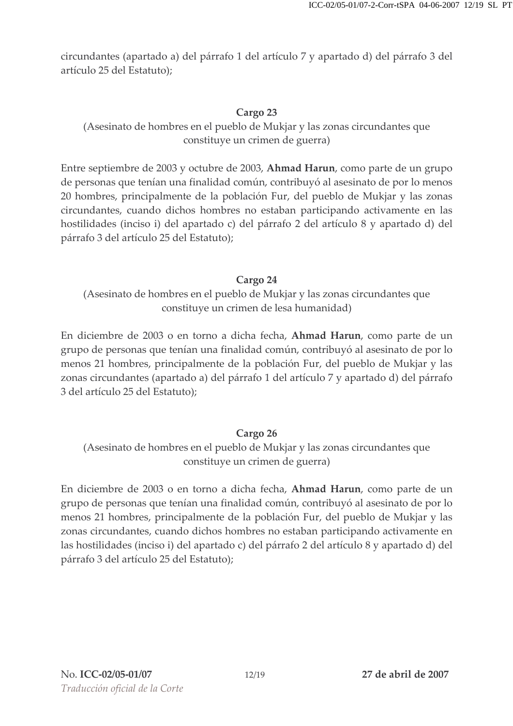circundantes (apartado a) del párrafo 1 del artículo 7 y apartado d) del párrafo 3 del artículo 25 del Estatuto);

### Cargo 23

(Asesinato de hombres en el pueblo de Mukjar y las zonas circundantes que constituye un crimen de guerra)

Entre septiembre de 2003 y octubre de 2003, Ahmad Harun, como parte de un grupo de personas que tenían una finalidad común, contribuyó al asesinato de por lo menos 20 hombres, principalmente de la población Fur, del pueblo de Mukjar y las zonas circundantes, cuando dichos hombres no estaban participando activamente en las hostilidades (inciso i) del apartado c) del párrafo 2 del artículo 8 y apartado d) del párrafo 3 del artículo 25 del Estatuto);

### Cargo 24

(Asesinato de hombres en el pueblo de Mukjar y las zonas circundantes que constituye un crimen de lesa humanidad)

En diciembre de 2003 o en torno a dicha fecha, **Ahmad Harun**, como parte de un grupo de personas que tenían una finalidad común, contribuyó al asesinato de por lo menos 21 hombres, principalmente de la población Fur, del pueblo de Mukjar y las zonas circundantes (apartado a) del párrafo 1 del artículo 7 y apartado d) del párrafo 3 del artículo 25 del Estatuto);

### Cargo 26

(Asesinato de hombres en el pueblo de Mukjar y las zonas circundantes que constituye un crimen de guerra)

En diciembre de 2003 o en torno a dicha fecha, Ahmad Harun, como parte de un grupo de personas que tenían una finalidad común, contribuyó al asesinato de por lo menos 21 hombres, principalmente de la población Fur, del pueblo de Mukjar y las zonas circundantes, cuando dichos hombres no estaban participando activamente en las hostilidades (inciso i) del apartado c) del párrafo 2 del artículo 8 y apartado d) del párrafo 3 del artículo 25 del Estatuto);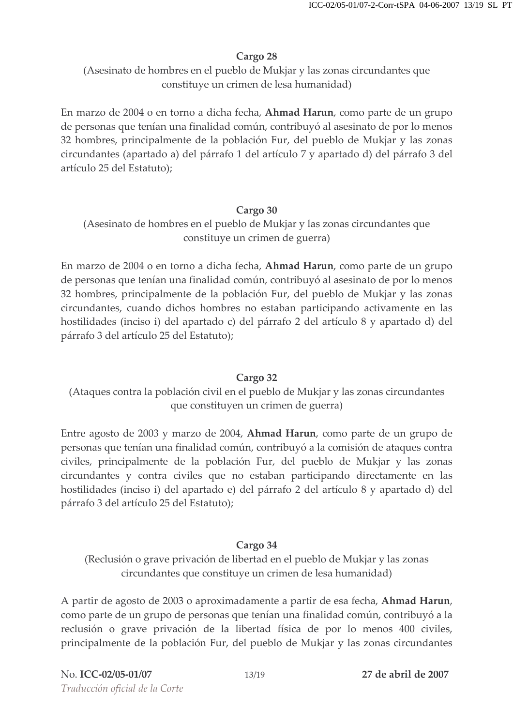(Asesinato de hombres en el pueblo de Mukjar y las zonas circundantes que constituye un crimen de lesa humanidad)

En marzo de 2004 o en torno a dicha fecha, Ahmad Harun, como parte de un grupo de personas que tenían una finalidad común, contribuyó al asesinato de por lo menos 32 hombres, principalmente de la población Fur, del pueblo de Mukjar y las zonas circundantes (apartado a) del párrafo 1 del artículo 7 y apartado d) del párrafo 3 del artículo 25 del Estatuto);

## Cargo 30

(Asesinato de hombres en el pueblo de Mukjar y las zonas circundantes que constituye un crimen de guerra)

En marzo de 2004 o en torno a dicha fecha, Ahmad Harun, como parte de un grupo de personas que tenían una finalidad común, contribuyó al asesinato de por lo menos 32 hombres, principalmente de la población Fur, del pueblo de Mukjar y las zonas circundantes, cuando dichos hombres no estaban participando activamente en las hostilidades (inciso i) del apartado c) del párrafo 2 del artículo 8 y apartado d) del párrafo 3 del artículo 25 del Estatuto);

## Cargo 32

(Ataques contra la población civil en el pueblo de Mukjar y las zonas circundantes que constituyen un crimen de guerra)

Entre agosto de 2003 y marzo de 2004, Ahmad Harun, como parte de un grupo de personas que tenían una finalidad común, contribuyó a la comisión de ataques contra civiles, principalmente de la población Fur, del pueblo de Mukjar y las zonas circundantes y contra civiles que no estaban participando directamente en las hostilidades (inciso i) del apartado e) del párrafo 2 del artículo 8 y apartado d) del párrafo 3 del artículo 25 del Estatuto);

# Cargo 34

(Reclusión o grave privación de libertad en el pueblo de Mukjar y las zonas circundantes que constituye un crimen de lesa humanidad)

A partir de agosto de 2003 o aproximadamente a partir de esa fecha, Ahmad Harun, como parte de un grupo de personas que tenían una finalidad común, contribuyó a la reclusión o grave privación de la libertad física de por lo menos 400 civiles, principalmente de la población Fur, del pueblo de Mukjar y las zonas circundantes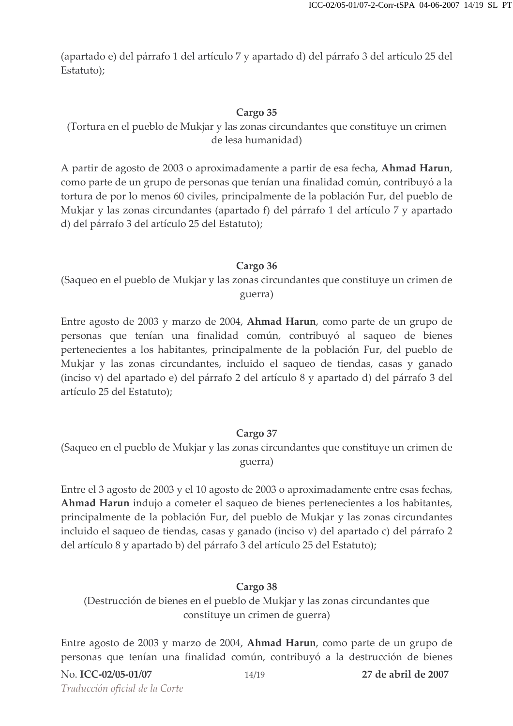(apartado e) del párrafo 1 del artículo 7 y apartado d) del párrafo 3 del artículo 25 del Estatuto);

### Cargo 35

(Tortura en el pueblo de Mukjar y las zonas circundantes que constituye un crimen de lesa humanidad)

A partir de agosto de 2003 o aproximadamente a partir de esa fecha, Ahmad Harun, como parte de un grupo de personas que tenían una finalidad común, contribuyó a la tortura de por lo menos 60 civiles, principalmente de la población Fur, del pueblo de Mukjar y las zonas circundantes (apartado f) del párrafo 1 del artículo 7 y apartado d) del párrafo 3 del artículo 25 del Estatuto);

### Cargo 36

(Saqueo en el pueblo de Mukjar y las zonas circundantes que constituye un crimen de guerra)

Entre agosto de 2003 y marzo de 2004, Ahmad Harun, como parte de un grupo de personas que tenían una finalidad común, contribuyó al saqueo de bienes pertenecientes a los habitantes, principalmente de la población Fur, del pueblo de Mukjar y las zonas circundantes, incluido el saqueo de tiendas, casas y ganado (inciso v) del apartado e) del párrafo 2 del artículo 8 y apartado d) del párrafo 3 del artículo 25 del Estatuto);

### Cargo 37

(Saqueo en el pueblo de Mukjar y las zonas circundantes que constituye un crimen de guerra)

Entre el 3 agosto de 2003 y el 10 agosto de 2003 o aproximadamente entre esas fechas, Ahmad Harun indujo a cometer el saqueo de bienes pertenecientes a los habitantes, principalmente de la población Fur, del pueblo de Mukjar y las zonas circundantes incluido el saqueo de tiendas, casas y ganado (inciso v) del apartado c) del párrafo 2 del artículo 8 y apartado b) del párrafo 3 del artículo 25 del Estatuto);

### Cargo 38

(Destrucción de bienes en el pueblo de Mukjar y las zonas circundantes que constituye un crimen de guerra)

Entre agosto de 2003 y marzo de 2004, Ahmad Harun, como parte de un grupo de personas que tenían una finalidad común, contribuyó a la destrucción de bienes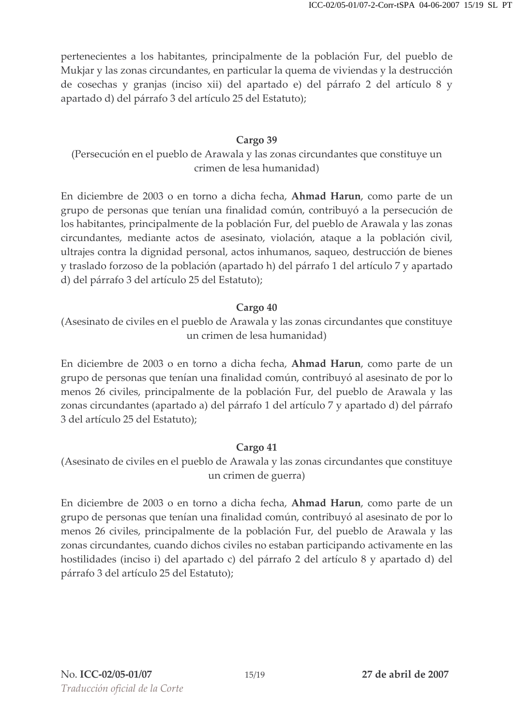pertenecientes a los habitantes, principalmente de la población Fur, del pueblo de Mukjar y las zonas circundantes, en particular la quema de viviendas y la destrucción de cosechas y granjas (inciso xii) del apartado e) del párrafo 2 del artículo 8 y apartado d) del párrafo 3 del artículo 25 del Estatuto);

### Cargo 39

(Persecución en el pueblo de Arawala y las zonas circundantes que constituye un crimen de lesa humanidad)

En diciembre de 2003 o en torno a dicha fecha, Ahmad Harun, como parte de un grupo de personas que tenían una finalidad común, contribuyó a la persecución de los habitantes, principalmente de la población Fur, del pueblo de Arawala y las zonas circundantes, mediante actos de asesinato, violación, ataque a la población civil, ultrajes contra la dignidad personal, actos inhumanos, saqueo, destrucción de bienes y traslado forzoso de la población (apartado h) del párrafo 1 del artículo 7 y apartado d) del párrafo 3 del artículo 25 del Estatuto);

### Cargo 40

(Asesinato de civiles en el pueblo de Arawala y las zonas circundantes que constituye un crimen de lesa humanidad)

En diciembre de 2003 o en torno a dicha fecha, Ahmad Harun, como parte de un grupo de personas que tenían una finalidad común, contribuyó al asesinato de por lo menos 26 civiles, principalmente de la población Fur, del pueblo de Arawala y las zonas circundantes (apartado a) del párrafo 1 del artículo 7 y apartado d) del párrafo 3 del artículo 25 del Estatuto);

## Cargo 41

(Asesinato de civiles en el pueblo de Arawala y las zonas circundantes que constituye un crimen de guerra)

En diciembre de 2003 o en torno a dicha fecha, Ahmad Harun, como parte de un grupo de personas que tenían una finalidad común, contribuyó al asesinato de por lo menos 26 civiles, principalmente de la población Fur, del pueblo de Arawala y las zonas circundantes, cuando dichos civiles no estaban participando activamente en las hostilidades (inciso i) del apartado c) del párrafo 2 del artículo 8 y apartado d) del párrafo 3 del artículo 25 del Estatuto);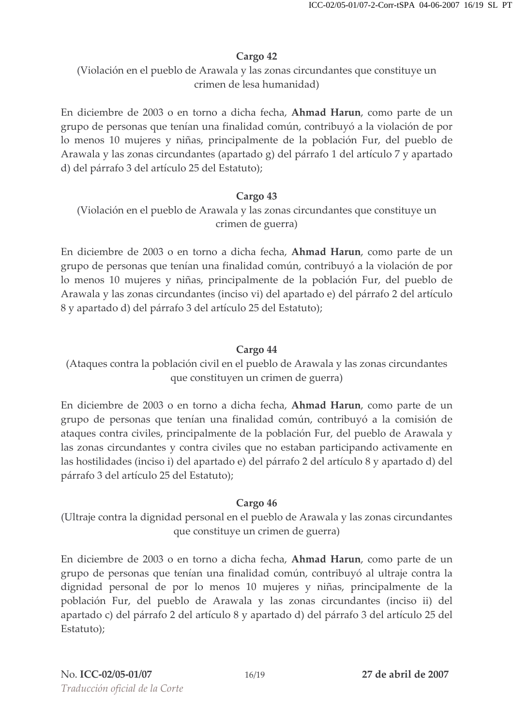(Violación en el pueblo de Arawala y las zonas circundantes que constituye un crimen de lesa humanidad)

En diciembre de 2003 o en torno a dicha fecha, **Ahmad Harun**, como parte de un grupo de personas que tenían una finalidad común, contribuyó a la violación de por lo menos 10 mujeres y niñas, principalmente de la población Fur, del pueblo de Arawala y las zonas circundantes (apartado g) del párrafo 1 del artículo 7 y apartado d) del párrafo 3 del artículo 25 del Estatuto);

### Cargo 43

(Violación en el pueblo de Arawala y las zonas circundantes que constituye un crimen de guerra)

En diciembre de 2003 o en torno a dicha fecha, **Ahmad Harun**, como parte de un grupo de personas que tenían una finalidad común, contribuyó a la violación de por lo menos 10 mujeres y niñas, principalmente de la población Fur, del pueblo de Arawala y las zonas circundantes (inciso vi) del apartado e) del párrafo 2 del artículo 8 y apartado d) del párrafo 3 del artículo 25 del Estatuto);

## Cargo 44

(Ataques contra la población civil en el pueblo de Arawala y las zonas circundantes que constituyen un crimen de guerra)

En diciembre de 2003 o en torno a dicha fecha, Ahmad Harun, como parte de un grupo de personas que tenían una finalidad común, contribuyó a la comisión de ataques contra civiles, principalmente de la población Fur, del pueblo de Arawala y las zonas circundantes y contra civiles que no estaban participando activamente en las hostilidades (inciso i) del apartado e) del párrafo 2 del artículo 8 y apartado d) del párrafo 3 del artículo 25 del Estatuto);

### Cargo 46

(Ultraje contra la dignidad personal en el pueblo de Arawala y las zonas circundantes que constituye un crimen de guerra)

En diciembre de 2003 o en torno a dicha fecha, Ahmad Harun, como parte de un grupo de personas que tenían una finalidad común, contribuyó al ultraje contra la dignidad personal de por lo menos 10 mujeres y niñas, principalmente de la población Fur, del pueblo de Arawala y las zonas circundantes (inciso ii) del apartado c) del párrafo 2 del artículo 8 y apartado d) del párrafo 3 del artículo 25 del Estatuto);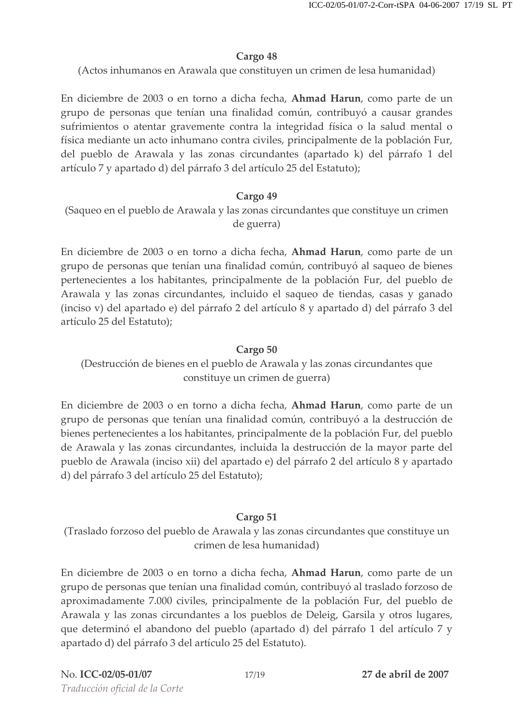(Actos inhumanos en Arawala que constituyen un crimen de lesa humanidad)

En diciembre de 2003 o en torno a dicha fecha, Ahmad Harun, como parte de un grupo de personas que tenían una finalidad común, contribuyó a causar grandes sufrimientos o atentar gravemente contra la integridad física o la salud mental o física mediante un acto inhumano contra civiles, principalmente de la población Fur, del pueblo de Arawala y las zonas circundantes (apartado k) del párrafo 1 del artículo 7 y apartado d) del párrafo 3 del artículo 25 del Estatuto);

### Cargo 49

(Saqueo en el pueblo de Arawala y las zonas circundantes que constituye un crimen de guerra)

En diciembre de 2003 o en torno a dicha fecha, **Ahmad Harun**, como parte de un grupo de personas que tenían una finalidad común, contribuyó al saqueo de bienes pertenecientes a los habitantes, principalmente de la población Fur, del pueblo de Arawala y las zonas circundantes, incluido el saqueo de tiendas, casas y ganado (inciso v) del apartado e) del párrafo 2 del artículo 8 y apartado d) del párrafo 3 del artículo 25 del Estatuto);

### Cargo 50

(Destrucción de bienes en el pueblo de Arawala y las zonas circundantes que constituye un crimen de guerra)

En diciembre de 2003 o en torno a dicha fecha, **Ahmad Harun**, como parte de un grupo de personas que tenían una finalidad común, contribuyó a la destrucción de bienes pertenecientes a los habitantes, principalmente de la población Fur, del pueblo de Arawala y las zonas circundantes, incluida la destrucción de la mayor parte del pueblo de Arawala (inciso xii) del apartado e) del párrafo 2 del artículo 8 y apartado d) del párrafo 3 del artículo 25 del Estatuto);

### Cargo 51

(Traslado forzoso del pueblo de Arawala y las zonas circundantes que constituye un crimen de lesa humanidad)

En diciembre de 2003 o en torno a dicha fecha, **Ahmad Harun**, como parte de un grupo de personas que tenían una finalidad común, contribuyó al traslado forzoso de aproximadamente 7.000 civiles, principalmente de la población Fur, del pueblo de Arawala y las zonas circundantes a los pueblos de Deleig, Garsila y otros lugares, que determinó el abandono del pueblo (apartado d) del párrafo 1 del artículo 7 y apartado d) del párrafo 3 del artículo 25 del Estatuto).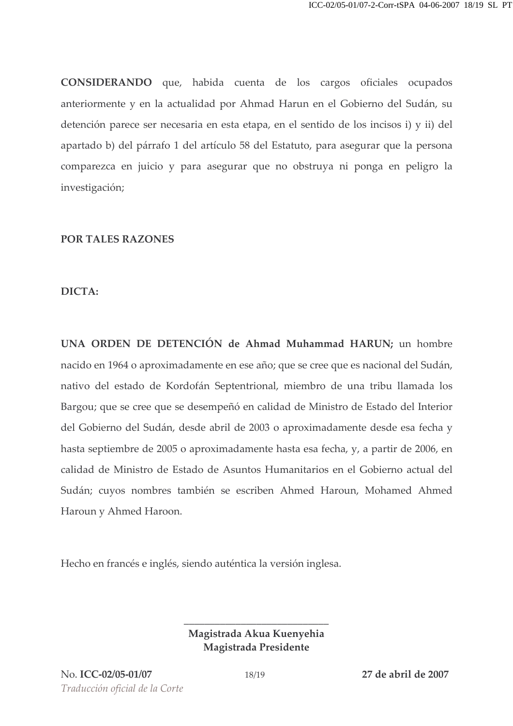CONSIDERANDO que, habida cuenta de los cargos oficiales ocupados anteriormente y en la actualidad por Ahmad Harun en el Gobierno del Sudán, su detención parece ser necesaria en esta etapa, en el sentido de los incisos i) y ii) del apartado b) del párrafo 1 del artículo 58 del Estatuto, para asegurar que la persona comparezca en juicio y para asegurar que no obstruya ni ponga en peligro la investigación;

#### **POR TALES RAZONES**

#### DICTA:

UNA ORDEN DE DETENCIÓN de Ahmad Muhammad HARUN; un hombre nacido en 1964 o aproximadamente en ese año; que se cree que es nacional del Sudán, nativo del estado de Kordofán Septentrional, miembro de una tribu llamada los Bargou; que se cree que se desempeñó en calidad de Ministro de Estado del Interior del Gobierno del Sudán, desde abril de 2003 o aproximadamente desde esa fecha y hasta septiembre de 2005 o aproximadamente hasta esa fecha, y, a partir de 2006, en calidad de Ministro de Estado de Asuntos Humanitarios en el Gobierno actual del Sudán; cuyos nombres también se escriben Ahmed Haroun, Mohamed Ahmed Haroun y Ahmed Haroon.

Hecho en francés e inglés, siendo auténtica la versión inglesa.

Magistrada Akua Kuenyehia Magistrada Presidente